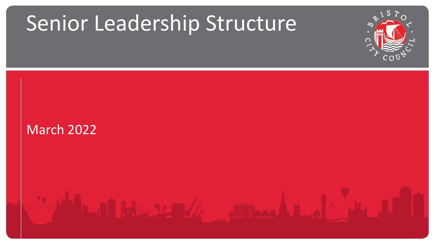## Senior Leadership Structure



## March 2022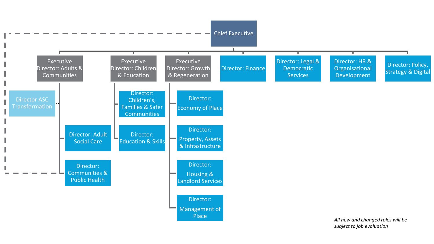

*subject to job evaluation*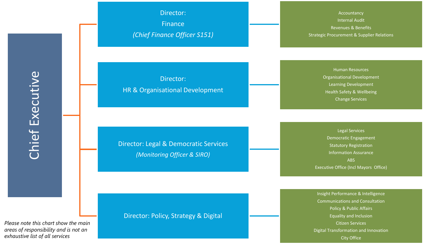Director: Finance *(Chief Finance Officer S151)*

Accountancy Internal Audit Revenues & Benefits Strategic Procurement & Supplier Relations

Director: HR & Organisational Development

Director: Legal & Democratic Services *(Monitoring Officer & SIRO)*

Human Resources Organisational Development Learning Development Health Safety & Wellbeing Change Services

Legal Services Democratic Engagement Statutory Registration Information Assurance ABS Executive Office (Incl Mayors Office)

*Please note this chart show the main areas of responsibility and is not an exhaustive list of all services*

Director: Policy, Strategy & Digital

Insight Performance & Intelligence Communications and Consultation Policy & Public Affairs Equality and Inclusion Citizen Services Digital Transformation and Innovation City Office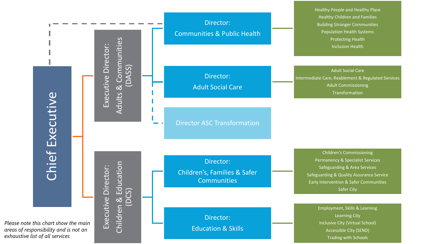